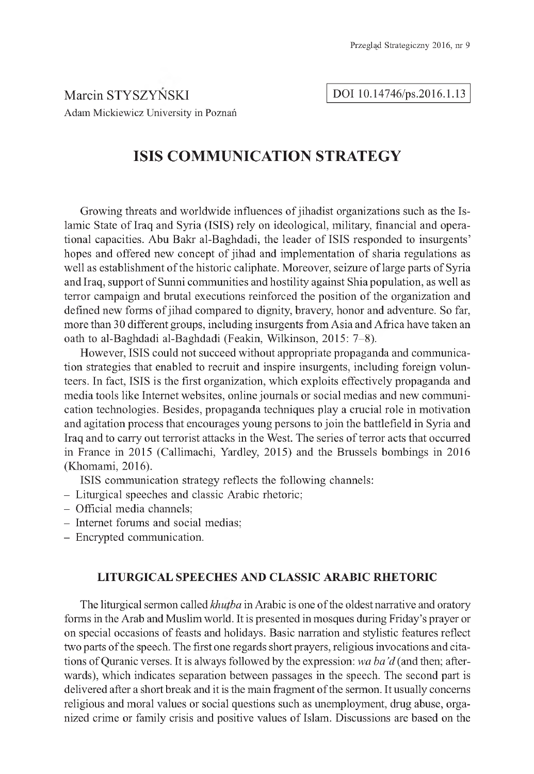Marcin STYSZYNSKI Adam Mickiewicz University in Poznań

#### DOI 10.14746/ps.2016.1.13

# **ISIS COMMUNICATION STRATEGY**

Growing threats and worldwide influences of jihadist organizations such as the Islamic State of Iraq and Syria (ISIS) rely on ideological, military, financial and operational capacities. Abu Bakr al-Baghdadi, the leader of ISIS responded to insurgents' hopes and offered new concept of jihad and implementation of sharia regulations as well as establishment of the historic caliphate. Moreover, seizure of large parts of Syria and Iraq, support of Sunni communities and hostility against Shia population, as well as terror campaign and brutal executions reinforced the position of the organization and defined new forms of jihad compared to dignity, bravery, honor and adventure. So far, more than 30 different groups, including insurgents from Asia and Africa have taken an oath to al-Baghdadi al-Baghdadi (Feakin, Wilkinson, 2015: 7-8).

However, ISIS could not succeed without appropriate propaganda and communication strategies that enabled to recruit and inspire insurgents, including foreign volunteers. In fact, ISIS is the first organization, which exploits effectively propaganda and media tools like Internet websites, online journals or social medias and new communication technologies. Besides, propaganda techniques play a crucial role in motivation and agitation process that encourages young persons to join the battlefield in Syria and Iraq and to carry out terrorist attacks in the West. The series of terror acts that occurred in France in 2015 (Callimachi, Yardley, 2015) and the Brussels bombings in 2016 (Khomami, 2016).

ISIS communication strategy reflects the following channels:

- Liturgical speeches and classic Arabic rhetoric;
- Official media channels;
- Internet forums and social medias;
- Encrypted communication.

## **LITURGICAL SPEECHES AND CLASSIC ARABIC RHETORIC**

The liturgical sermon called *khutba* in Arabic is one of the oldest narrative and oratory forms in the Arab and Muslim world. It is presented in mosques during Friday's prayer or on special occasions of feasts and holidays. Basic narration and stylistic features reflect two parts of the speech. The first one regards short prayers, religious invocations and citations of Quranic verses. It is always followed by the expression: *wa ba'd* (and then; afterwards), which indicates separation between passages in the speech. The second part is delivered after a short break and it is the main fragment of the sermon. It usually concerns religious and moral values or social questions such as unemployment, drug abuse, organized crime or family crisis and positive values of Islam. Discussions are based on the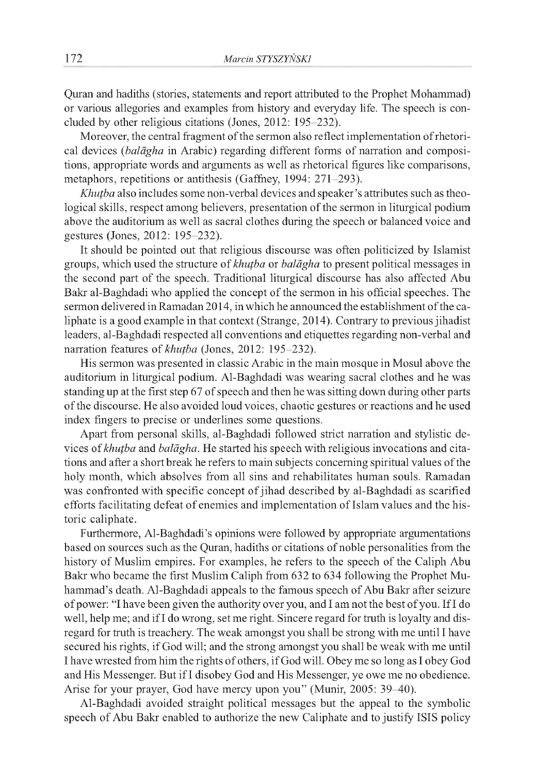Quran and hadiths (stories, statements and report attributed to the Prophet Mohammad) or various allegories and examples from history and everyday life. The speech is concluded by other religious citations (Jones, 2012: 195-232).

Moreover, the central fragment of the sermon also reflect implementation of rhetorical devices *(balagha* in Arabic) regarding different forms of narration and compositions, appropriate words and arguments as well as rhetorical figures like comparisons, metaphors, repetitions or antithesis (Gaffney, 1994: 271-293).

*Khutba* also includes some non-verbal devices and speaker's attributes such as theological skills, respect among believers, presentation of the sermon in liturgical podium above the auditorium as well as sacral clothes during the speech or balanced voice and gestures (Jones, 2012: 195-232).

It should be pointed out that religious discourse was often politicized by Islamist groups, which used the structure of *khutba* or *balagha* to present political messages in the second part of the speech. Traditional liturgical discourse has also affected Abu Bakr al-Baghdadi who applied the concept of the sermon in his official speeches. The sermon delivered in Ramadan 2014, in which he announced the establishment of the caliphate is a good example in that context (Strange, 2014). Contrary to previous jihadist leaders, al-Baghdadi respected all conventions and etiquettes regarding non-verbal and narration features of *khutba* (Jones, 2012: 195-232).

His sermon was presented in classic Arabic in the main mosque in Mosul above the auditorium in liturgical podium. Al-Baghdadi was wearing sacral clothes and he was standing up at the first step 67 of speech and then he was sitting down during other parts of the discourse. He also avoided loud voices, chaotic gestures or reactions and he used index fingers to precise or underlines some questions.

Apart from personal skills, al-Baghdadi followed strict narration and stylistic devices of *khutba* and *balagha.* He started his speech with religious invocations and citations and after a short break he refers to main subjects concerning spiritual values of the holy month, which absolves from all sins and rehabilitates human souls. Ramadan was confronted with specific concept of jihad described by al-Baghdadi as scarified efforts facilitating defeat of enemies and implementation of Islam values and the historic caliphate.

Furthermore, Al-Baghdadi's opinions were followed by appropriate argumentations based on sources such as the Quran, hadiths or citations of noble personalities from the history of Muslim empires. For examples, he refers to the speech of the Caliph Abu Bakr who became the first Muslim Caliph from 632 to 634 following the Prophet Muhammad's death. Al-Baghdadi appeals to the famous speech of Abu Bakr after seizure of power: "I have been given the authority over you, and I am not the best of you. If I do well, help me; and if I do wrong, set me right. Sincere regard for truth is loyalty and disregard for truth is treachery. The weak amongst you shall be strong with me until I have secured his rights, if God will; and the strong amongst you shall be weak with me until I have wrested from him the rights of others, if God will. Obey me so long as I obey God and His Messenger. But if I disobey God and His Messenger, ye owe me no obedience. Arise for your prayer, God have mercy upon you'' (Munir, 2005: 39-40).

Al-Baghdadi avoided straight political messages but the appeal to the symbolic speech of Abu Bakr enabled to authorize the new Caliphate and to justify ISIS policy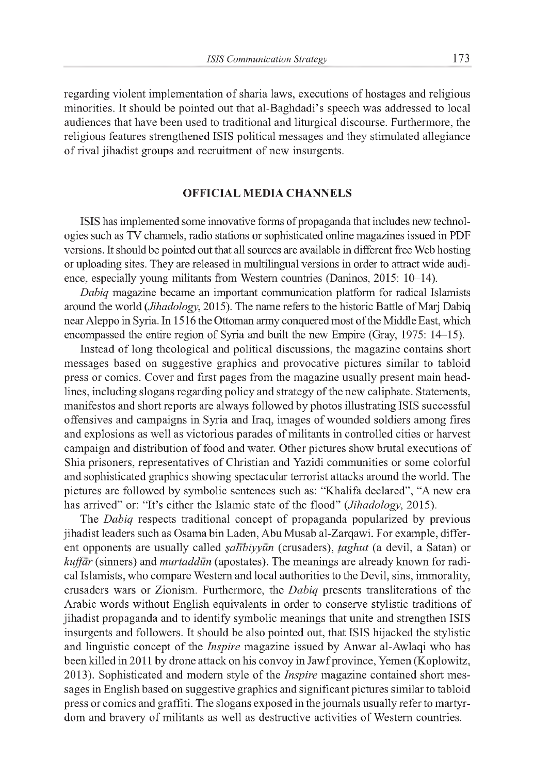regarding violent implementation of sharia laws, executions of hostages and religious minorities. It should be pointed out that al-Baghdadi's speech was addressed to local audiences that have been used to traditional and liturgical discourse. Furthermore, the religious features strengthened ISIS political messages and they stimulated allegiance of rival jihadist groups and recruitment of new insurgents.

## **OFFICIAL MEDIA CHANNELS**

ISIS has implemented some innovative forms of propaganda that includes new technologies such as TV channels, radio stations or sophisticated online magazines issued in PDF versions. It should be pointed out that all sources are available in different free Web hosting or uploading sites. They are released in multilingual versions in order to attract wide audience, especially young militants from Western countries (Daninos, 2015: 10-14).

*Dabiq* magazine became an important communication platform for radical Islamists around the world (*Jihadology*, 2015). The name refers to the historic Battle of Marj Dabiq near Aleppo in Syria. In 1516 the Ottoman army conquered most of the Middle East, which encompassed the entire region of Syria and built the new Empire (Gray, 1975: 14-15).

Instead of long theological and political discussions, the magazine contains short messages based on suggestive graphics and provocative pictures similar to tabloid press or comics. Cover and first pages from the magazine usually present main headlines, including slogans regarding policy and strategy of the new caliphate. Statements, manifestos and short reports are always followed by photos illustrating ISIS successful offensives and campaigns in Syria and Iraq, images of wounded soldiers among fires and explosions as well as victorious parades of militants in controlled cities or harvest campaign and distribution of food and water. Other pictures show brutal executions of Shia prisoners, representatives of Christian and Yazidi communities or some colorful and sophisticated graphics showing spectacular terrorist attacks around the world. The pictures are followed by symbolic sentences such as: "Khalifa declared", "A new era has arrived" or: "It's either the Islamic state of the flood" (*Jihadology*, 2015).

The *Dabiq* respects traditional concept of propaganda popularized by previous jihadist leaders such as Osama bin Laden, Abu Musab al-Zarqawi. For example, different opponents are usually called *şalībiyyūn* (crusaders), *taghut* (a devil, a Satan) or *kuffar* (sinners) and *murtaddun* (apostates). The meanings are already known for radical Islamists, who compare Western and local authorities to the Devil, sins, immorality, crusaders wars or Zionism. Furthermore, the *Dabiq* presents transliterations of the Arabic words without English equivalents in order to conserve stylistic traditions of jihadist propaganda and to identify symbolic meanings that unite and strengthen ISIS insurgents and followers. It should be also pointed out, that ISIS hijacked the stylistic and linguistic concept of the *Inspire* magazine issued by Anwar al-Awlaqi who has been killed in 2011 by drone attack on his convoy in Jawf province, Yemen (Koplowitz, 2013). Sophisticated and modern style of the *Inspire* magazine contained short messages in English based on suggestive graphics and significant pictures similar to tabloid press or comics and graffiti. The slogans exposed in the journals usually refer to martyrdom and bravery of militants as well as destructive activities of Western countries.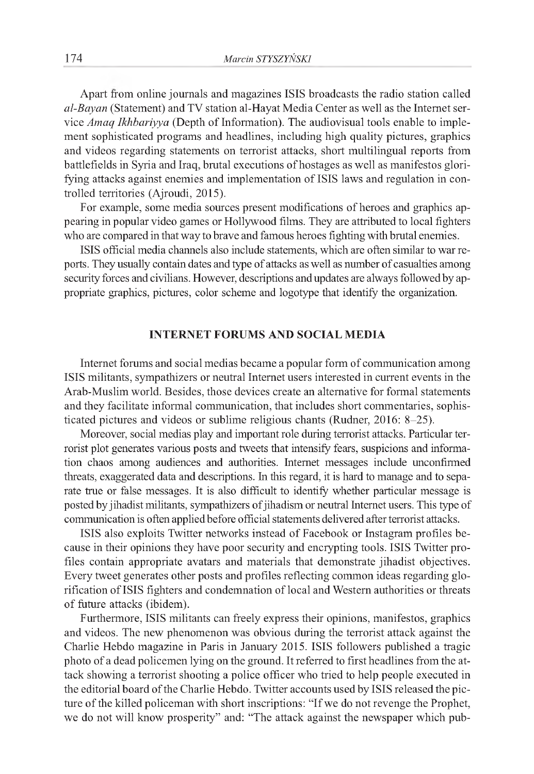Apart from online journals and magazines ISIS broadcasts the radio station called *al-Bayan* (Statement) and TV station al-Hayat Media Center as well as the Internet service *Amaq Ikhbariyya* (Depth of Information). The audiovisual tools enable to implement sophisticated programs and headlines, including high quality pictures, graphics and videos regarding statements on terrorist attacks, short multilingual reports from battlefields in Syria and Iraq, brutal executions of hostages as well as manifestos glorifying attacks against enemies and implementation of ISIS laws and regulation in controlled territories (Ajroudi, 2015).

For example, some media sources present modifications of heroes and graphics appearing in popular video games or Hollywood films. They are attributed to local fighters who are compared in that way to brave and famous heroes fighting with brutal enemies.

ISIS official media channels also include statements, which are often similar to war reports. They usually contain dates and type of attacks as well as number of casualties among security forces and civilians. However, descriptions and updates are always followed by appropriate graphics, pictures, color scheme and logotype that identify the organization.

## **INTERNET FORUMS AND SOCIAL MEDIA**

Internet forums and social medias became a popular form of communication among ISIS militants, sympathizers or neutral Internet users interested in current events in the Arab-Muslim world. Besides, those devices create an alternative for formal statements and they facilitate informal communication, that includes short commentaries, sophisticated pictures and videos or sublime religious chants (Rudner, 2016: 8-25).

Moreover, social medias play and important role during terrorist attacks. Particular terrorist plot generates various posts and tweets that intensify fears, suspicions and information chaos among audiences and authorities. Internet messages include unconfirmed threats, exaggerated data and descriptions. In this regard, it is hard to manage and to separate true or false messages. It is also difficult to identify whether particular message is posted by jihadist militants, sympathizers of jihadism or neutral Internet users. This type of communication is often applied before official statements delivered after terrorist attacks.

ISIS also exploits Twitter networks instead of Facebook or Instagram profiles because in their opinions they have poor security and encrypting tools. ISIS Twitter profiles contain appropriate avatars and materials that demonstrate jihadist objectives. Every tweet generates other posts and profiles reflecting common ideas regarding glorification of ISIS fighters and condemnation of local and Western authorities or threats of future attacks (ibidem).

Furthermore, ISIS militants can freely express their opinions, manifestos, graphics and videos. The new phenomenon was obvious during the terrorist attack against the Charlie Hebdo magazine in Paris in January 2015. ISIS followers published a tragic photo of a dead policemen lying on the ground. It referred to first headlines from the attack showing a terrorist shooting a police officer who tried to help people executed in the editorial board of the Charlie Hebdo. Twitter accounts used by ISIS released the picture of the killed policeman with short inscriptions: "If we do not revenge the Prophet, we do not will know prosperity" and: "The attack against the newspaper which pub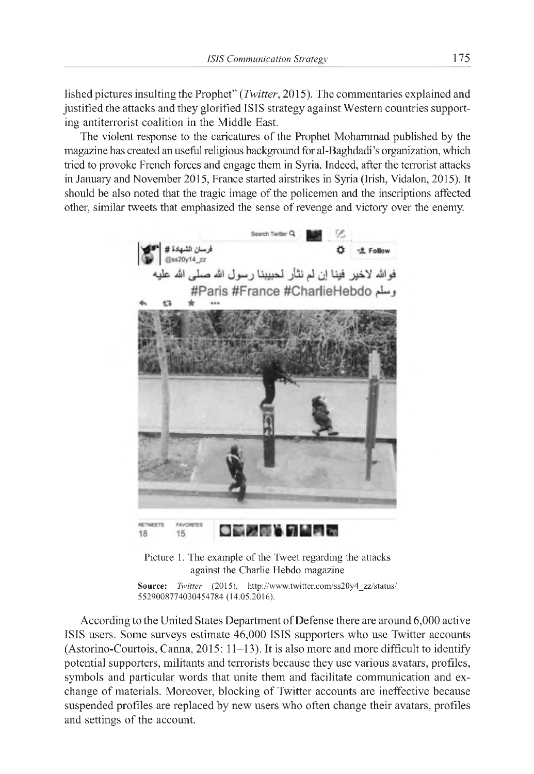lished pictures insulting the Prophet" *(Twitter,* 2015). The commentaries explained and justified the attacks and they glorified ISIS strategy against Western countries supporting antiterrorist coalition in the Middle East.

The violent response to the caricatures of the Prophet Mohammad published by the magazine has created an useful religious background for al-Baghdadi's organization, which tried to provoke French forces and engage them in Syria. Indeed, after the terrorist attacks in January and November 2015, France started airstrikes in Syria (Irish, Vidalon, 2015). It should be also noted that the tragic image of the policemen and the inscriptions affected other, similar tweets that emphasized the sense of revenge and victory over the enemy.



Picture 1. The example of the Tweet regarding the attacks against the Charlie Hebdo magazine

Source: *Twitter* (2015), http://www.twitter.com/ss20y4\_zz/status/ 5529008774030454784 (14.05.2016).

According to the United States Department of Defense there are around 6,000 active ISIS users. Some surveys estimate 46,000 ISIS supporters who use Twitter accounts (Astorino-Courtois, Canna,  $2015: 11-13$ ). It is also more and more difficult to identify potential supporters, militants and terrorists because they use various avatars, profiles, symbols and particular words that unite them and facilitate communication and exchange of materials. Moreover, blocking of Twitter accounts are ineffective because suspended profiles are replaced by new users who often change their avatars, profiles and settings of the account.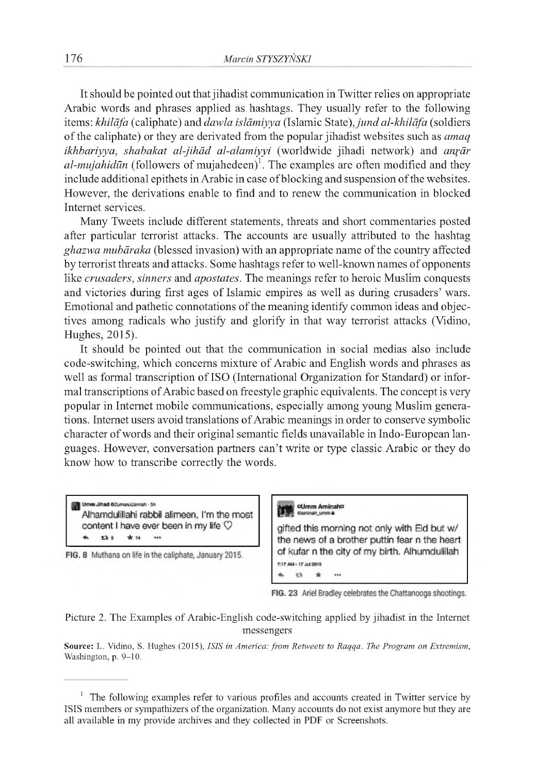It should be pointed out that jihadist communication in Twitter relies on appropriate Arabic words and phrases applied as hashtags. They usually refer to the following items: *khilāfa* (caliphate) and *dawla islāmiyya* (Islamic State), *jund al-khilāfa* (soldiers of the caliphate) or they are derivated from the popular jihadist websites such as *amaq ikhbariyya, shabakat al-jihâd al-alamiyyi* (worldwide jihadi network) and *anrâr*  $al-mujahid\bar{u}n$  (followers of mujahedeen)<sup>1</sup>. The examples are often modified and they include additional epithets in Arabic in case of blocking and suspension of the websites. However, the derivations enable to find and to renew the communication in blocked Internet services.

Many Tweets include different statements, threats and short commentaries posted after particular terrorist attacks. The accounts are usually attributed to the hashtag *ghazwa mubâraka* (blessed invasion) with an appropriate name of the country affected by terrorist threats and attacks. Some hashtags refer to well-known names of opponents like *crusaders, sinners* and *apostates.* The meanings refer to heroic Muslim conquests and victories during first ages of Islamic empires as well as during crusaders' wars. Emotional and pathetic connotations of the meaning identify common ideas and objectives among radicals who justify and glorify in that way terrorist attacks (Vidino, Hughes, 2015).

It should be pointed out that the communication in social medias also include code-switching, which concerns mixture of Arabic and English words and phrases as well as formal transcription of ISO (International Organization for Standard) or informal transcriptions of Arabic based on freestyle graphic equivalents. The concept is very popular in Internet mobile communications, especially among young Muslim generations. Internet users avoid translations of Arabic meanings in order to conserve symbolic character of words and their original semantic fields unavailable in Indo-European languages. However, conversation partners can't write or type classic Arabic or they do know how to transcribe correctly the words.

Umm Jihad @ZumaruUannah - 5h Alhamdulillahi rabbil alimeen, I'm the most content I have ever been in my life  $\heartsuit$ E3 S \* 14 ...

FIG. 8 Muthana on life in the caliphate, January 2015.



FIG. 23 Ariel Bradley celebrates the Chattanooga shootings.

Picture 2. The Examples of Arabic-English code-switching applied by jihadist in the Internet messengers

Source: L. Vidino, S. Hughes (2015), *ISIS in America: from Retweets to Raqqa. The Program on Extremism,* Washington, p. 9-10.

 $1$  The following examples refer to various profiles and accounts created in Twitter service by ISIS members or sympathizers of the organization. Many accounts do not exist anymore but they are all available in my provide archives and they collected in PDF or Screenshots.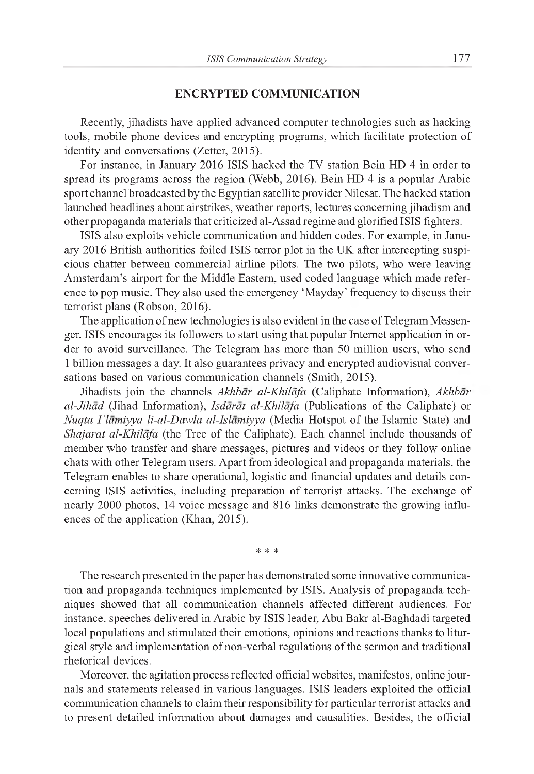#### **ENCRYPTED COMMUNICATION**

Recently, jihadists have applied advanced computer technologies such as hacking tools, mobile phone devices and encrypting programs, which facilitate protection of identity and conversations (Zetter, 2015).

For instance, in January 2016 ISIS hacked the TV station Bein HD 4 in order to spread its programs across the region (Webb, 2016). Bein HD 4 is a popular Arabic sport channel broadcasted by the Egyptian satellite provider Nilesat. The hacked station launched headlines about airstrikes, weather reports, lectures concerning jihadism and other propaganda materials that criticized al-Assad regime and glorified ISIS fighters.

ISIS also exploits vehicle communication and hidden codes. For example, in January 2016 British authorities foiled ISIS terror plot in the UK after intercepting suspicious chatter between commercial airline pilots. The two pilots, who were leaving Amsterdam's airport for the Middle Eastern, used coded language which made reference to pop music. They also used the emergency 'Mayday' frequency to discuss their terrorist plans (Robson, 2016).

The application of new technologies is also evident in the case of Telegram Messenger. ISIS encourages its followers to start using that popular Internet application in order to avoid surveillance. The Telegram has more than 50 million users, who send 1 billion messages a day. It also guarantees privacy and encrypted audiovisual conversations based on various communication channels (Smith, 2015).

Jihadists join the channels *Akhbar al-Khilafa* (Caliphate Information), *Akhbar al-Jihad* (Jihad Information), *Isdarat al-Khilafa* (Publications of the Caliphate) or *Nuqta I 'lamiyya li-al-Dawla al-Islamiyya* (Media Hotspot of the Islamic State) and *Shajarat al-Khilafa* (the Tree of the Caliphate). Each channel include thousands of member who transfer and share messages, pictures and videos or they follow online chats with other Telegram users. Apart from ideological and propaganda materials, the Telegram enables to share operational, logistic and financial updates and details concerning ISIS activities, including preparation of terrorist attacks. The exchange of nearly 2000 photos, 14 voice message and 816 links demonstrate the growing influences of the application (Khan, 2015).

\* \* \*

The research presented in the paper has demonstrated some innovative communication and propaganda techniques implemented by ISIS. Analysis of propaganda techniques showed that all communication channels affected different audiences. For instance, speeches delivered in Arabic by ISIS leader, Abu Bakr al-Baghdadi targeted local populations and stimulated their emotions, opinions and reactions thanks to liturgical style and implementation of non-verbal regulations of the sermon and traditional rhetorical devices.

Moreover, the agitation process reflected official websites, manifestos, online journals and statements released in various languages. ISIS leaders exploited the official communication channels to claim their responsibility for particular terrorist attacks and to present detailed information about damages and causalities. Besides, the official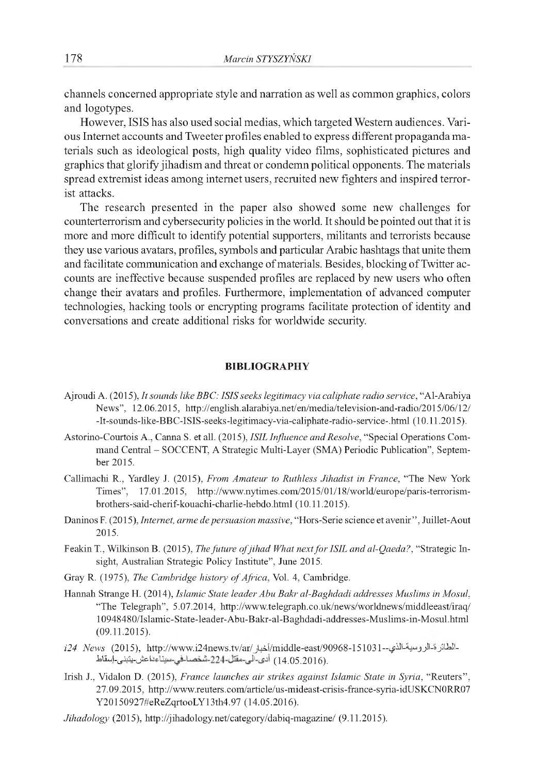channels concerned appropriate style and narration as well as common graphics, colors and logotypes.

However, ISIS has also used social medias, which targeted Western audiences. Various Internet accounts and Tweeter profiles enabled to express different propaganda materials such as ideological posts, high quality video films, sophisticated pictures and graphics that glorify jihadism and threat or condemn political opponents. The materials spread extremist ideas among internet users, recruited new fighters and inspired terrorist attacks.

The research presented in the paper also showed some new challenges for counterterrorism and cybersecurity policies in the world. It should be pointed out that it is more and more difficult to identify potential supporters, militants and terrorists because they use various avatars, profiles, symbols and particular Arabic hashtags that unite them and facilitate communication and exchange of materials. Besides, blocking of Twitter accounts are ineffective because suspended profiles are replaced by new users who often change their avatars and profiles. Furthermore, implementation of advanced computer technologies, hacking tools or encrypting programs facilitate protection of identity and conversations and create additional risks for worldwide security.

#### **BIBLIOGRAPHY**

- Ajroudi A. (2015), *It sounds like BBC: ISIS seeks legitimacy via caliphate radio service,* "Al-Arabiya News", 12.06.2015, <http://english.alarabiya.net/en/media/television-and-radio/2015/06/12/> -It-sounds-like-BBC-ISIS-seeks-legitimacy-via-caliphate-radio-service-.html (10.11.2015).
- Astorino-Courtois A., Canna S. et all. (2015), *ISIL Influence and Resolve,* "Special Operations Command Central - SOCCENT, A Strategic Multi-Layer (SMA) Periodic Publication", September 2015.
- Callimachi R., Yardley J. (2015), *From Amateur to Ruthless Jihadist in France,* "The New York Times", 17.01.2015, [http://www.nytimes.com/2015/01/18/world/europe/paris-terrorism](http://www.nytimes.com/2015/01/18/world/europe/paris-terrorism-)brothers-said-cherif-kouachi-charlie-hebdo.html (10.11.2015).
- Daninos F. (2015), *Internet, arme de persuasion massive*, "Hors-Serie science et avenir", Juillet-Aout 2015.
- Feakin T., Wilkinson B. (2015), *The future of jihad What next for ISIL and al-Qaeda?*, "Strategic Insight, Australian Strategic Policy Institute", June 2015.
- Gray R. (1975), *The Cambridge history of Africa*, Vol. 4, Cambridge.
- Hannah Strange H. (2014), *Islamic State leader Abu Bakr al-Baghdadi addresses Muslims in Mosul,* "The Telegraph", 5.07.2014, <http://www.telegraph.co.uk/news/worldnews/middleeast/iraq/> 10948480/Islamic-State-leader-Abu-Bakr-al-Baghdadi-addresses-Muslims-in-Mosul.html (09.11.2015).
- *i24 News* (2015), [http://www.i24news.tv/ar/jlAi/middle-east/90968-151031~i^-^"jjN-»jjU=!l-](http://www.i24news.tv/ar/jlAi/middle-east/90968-151031~i%5e-%5e%e2%80%9cjjN-%c2%bbjjU=!l-).(14.05.2016) أدى-آلى-مقتل-224-شخصـالحي-ميناءداعش ينبنى إسقاط
- Irish J., Vidalon D. (2015), *France launches air strikes against Islamic State in Syria,* "Reuters'', 27.09.2015, <http://www.reuters.com/article/us-mideast-crisis-france-syria-idUSKCN0RR07> Y20150927#eReZqrtooLY13th4.97 (14.05.2016).
- *Jihadology* (2015), <http://jihadology.net/category/dabiq-magazine/> (9.11.2015).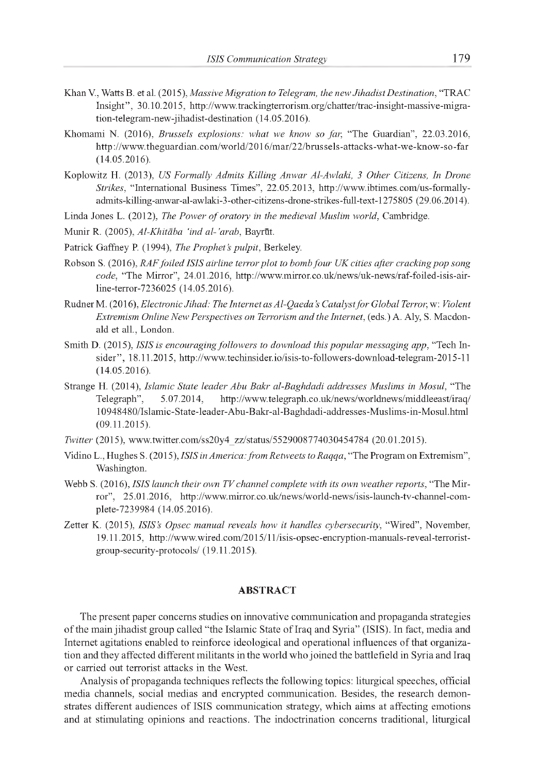- Khan V., Watts B. et al. (2015), *Massive Migration to Telegram, the new Jihadist Destination,* "TRAC Insight'', 30.10.2015, [http://www.trackingterrorism.org/chatter/trac-insight-massive-migra](http://www.trackingterrorism.org/chatter/trac-insight-massive-migra-)tion-telegram-new-jihadist-destination (14.05.2016).
- Khomami N. (2016), *Brussels explosions: what we know so far,* "The Guardian", 22.03.2016, <http://www.theguardian.com/world/2016/mar/22/brussels-attacks-what-we-know-so-far> (14.05.2016).
- Koplowitz H. (2013), *US Formally Admits Killing Anwar Al-Awlaki, 3 Other Citizens, In Drone Strikes,* "International Business Times", 22.05.2013, [http://www.ibtimes.com/us-formally](http://www.ibtimes.com/us-formally-)admits-killing-anwar-al-awlaki-3-other-citizens-drone-strikes-full-text-1275805 (29.06.2014).
- Linda Jones L. (2012), *The Power of oratory in the medieval Muslim world*, Cambridge.
- Munir R. (2005), Al-Khitāba 'ind al-'arab, Bayrūt.
- Patrick Gaffney P. (1994), *The Prophet's pulpit*, Berkeley.
- Robson S. (2016), *RAFfoiled ISIS airline terror plot to bomb four UK cities after cracking pop song code,* "The Mirror", 24.01.2016, [http://www.mirror.co.uk/news/uk-news/raf-foiled-isis-air](http://www.mirror.co.uk/news/uk-news/raf-foiled-isis-air-)line-terror-7236025 (14.05.2016).
- RudnerM. (2016), *Electronic Jihad: The Internet as Al-Qaeda's Catalyst fo r Global Terror,* w: *Violent Extremism Online New Perspectives on Terrorism and the Internet,* (eds.) A. Aly, S. Macdonald et all., London.
- Smith D. (2015), *ISIS is encouraging followers to download this popular messaging app,* "Tech Insider'', 18.11.2015, <http://www.techinsider.io/isis-to-followers-download-telegram-2015-11> (14.05.2016).
- Strange H. (2014), *Islamic State leader Abu Bakr al-Baghdadi addresses Muslims in Mosul,* "The Telegraph", 5.07.2014, <http://www.telegraph.co.uk/news/worldnews/middleeast/iraq/> 10948480/Islamic-State-leader-Abu-Bakr-al-Baghdadi-addresses-Muslims-in-Mosul.html (09.11.2015).
- *Twitter* (2015), [www.twitter.com/ss20y4\\_zz/status/5529008774030454784](http://www.twitter.com/ss20y4_zz/status/5529008774030454784) (20.01.2015).
- Vidino L., Hughes S. (2015), *ISIS in America: from Retweets to Raqqa*, "The Program on Extremism", Washington.
- Webb S. (2016), *ISIS launch their own TV channel complete with its own weather reports,* "The Mirror", 25.01.2016, [http://www.mirror.co.uk/news/world-news/isis-launch-tv-channel-com](http://www.mirror.co.uk/news/world-news/isis-launch-tv-channel-com-)plete-7239984 (14.05.2016).
- Zetter K. (2015), *ISIS's Opsec manual reveals how it handles cybersecurity,* "Wired", November, 19.11.2015, [http://www.wired.com/2015/11/isis-opsec-encryption-manuals-reveal-terrorist](http://www.wired.com/2015/11/isis-opsec-encryption-manuals-reveal-terrorist-)group-security-protocols/ (19.11.2015).

#### **ABSTRACT**

The present paper concerns studies on innovative communication and propaganda strategies of the main jihadist group called "the Islamic State of Iraq and Syria" (ISIS). In fact, media and Internet agitations enabled to reinforce ideological and operational influences of that organization and they affected different militants in the world who joined the battlefield in Syria and Iraq or carried out terrorist attacks in the West.

Analysis of propaganda techniques reflects the following topics: liturgical speeches, official media channels, social medias and encrypted communication. Besides, the research demonstrates different audiences of ISIS communication strategy, which aims at affecting emotions and at stimulating opinions and reactions. The indoctrination concerns traditional, liturgical